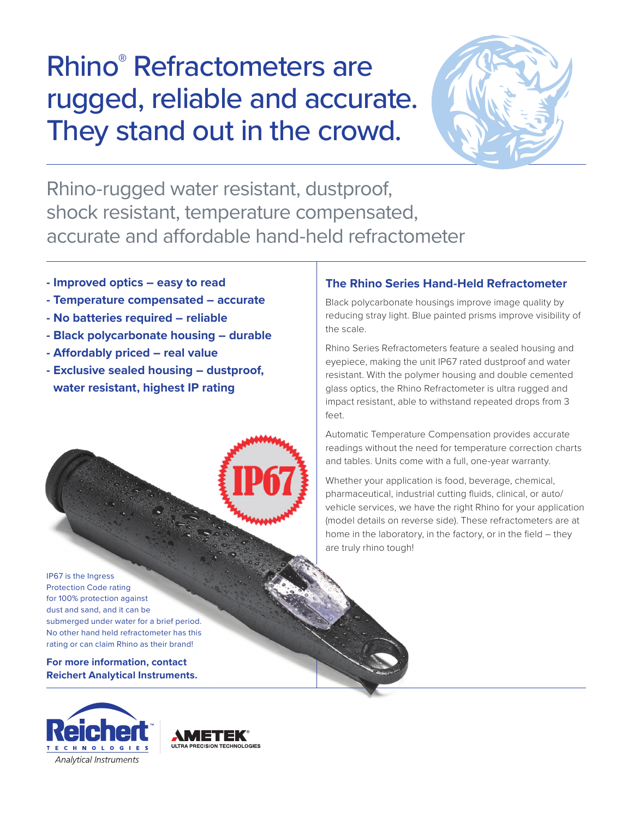# Rhino® Refractometers are rugged, reliable and accurate. They stand out in the crowd.



Rhino-rugged water resistant, dustproof, shock resistant, temperature compensated, accurate and affordable hand-held refractometer

- **Improved optics easy to read**
- **Temperature compensated accurate**
- **No batteries required reliable**
- **Black polycarbonate housing durable**
- **Affordably priced real value**
- **Exclusive sealed housing dustproof, water resistant, highest IP rating**

## **The Rhino Series Hand-Held Refractometer**

Black polycarbonate housings improve image quality by reducing stray light. Blue painted prisms improve visibility of the scale.

Rhino Series Refractometers feature a sealed housing and eyepiece, making the unit IP67 rated dustproof and water resistant. With the polymer housing and double cemented glass optics, the Rhino Refractometer is ultra rugged and impact resistant, able to withstand repeated drops from 3 feet.

Automatic Temperature Compensation provides accurate readings without the need for temperature correction charts and tables. Units come with a full, one-year warranty.

Whether your application is food, beverage, chemical, pharmaceutical, industrial cutting fluids, clinical, or auto/ vehicle services, we have the right Rhino for your application (model details on reverse side). These refractometers are at home in the laboratory, in the factory, or in the field – they are truly rhino tough!

IP67 is the Ingress Protection Code rating for 100% protection against dust and sand, and it can be submerged under water for a brief period. No other hand held refractometer has this rating or can claim Rhino as their brand!

**For more information, contact Reichert Analytical Instruments.**